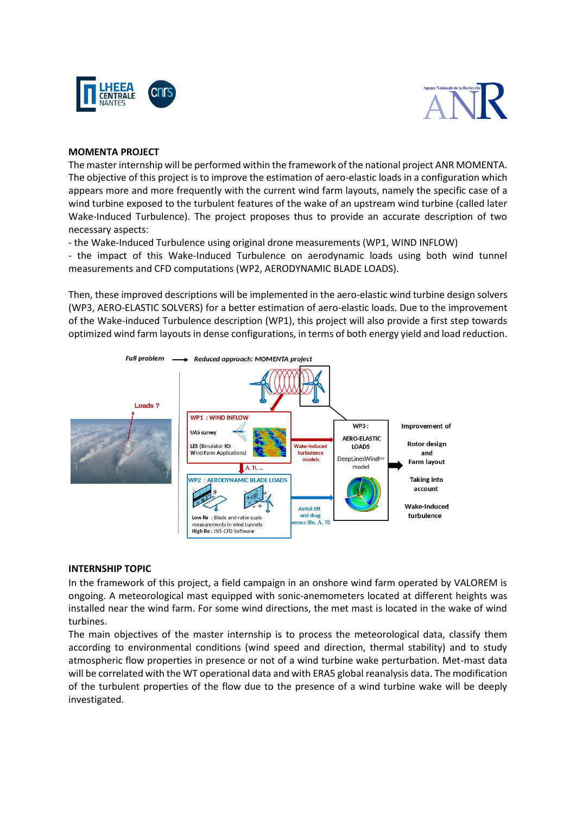



## **MOMENTA PROJECT**

The master internship will be performed within the framework of the national project ANR MOMENTA. The objective of this project is to improve the estimation of aero-elastic loads in a configuration which appears more and more frequently with the current wind farm layouts, namely the specific case of a wind turbine exposed to the turbulent features of the wake of an upstream wind turbine (called later Wake-Induced Turbulence). The project proposes thus to provide an accurate description of two necessary aspects:

- the Wake-Induced Turbulence using original drone measurements (WP1, WIND INFLOW)

- the impact of this Wake-Induced Turbulence on aerodynamic loads using both wind tunnel measurements and CFD computations (WP2, AERODYNAMIC BLADE LOADS).

Then, these improved descriptions will be implemented in the aero-elastic wind turbine design solvers (WP3, AERO-ELASTIC SOLVERS) for a better estimation of aero-elastic loads. Due to the improvement of the Wake-induced Turbulence description (WP1), this project will also provide a first step towards optimized wind farm layouts in dense configurations, in terms of both energy yield and load reduction.



## **INTERNSHIP TOPIC**

In the framework of this project, a field campaign in an onshore wind farm operated by VALOREM is ongoing. A meteorological mast equipped with sonic-anemometers located at different heights was installed near the wind farm. For some wind directions, the met mast is located in the wake of wind turbines.

The main objectives of the master internship is to process the meteorological data, classify them according to environmental conditions (wind speed and direction, thermal stability) and to study atmospheric flow properties in presence or not of a wind turbine wake perturbation. Met-mast data will be correlated with the WT operational data and with ERA5 global reanalysis data. The modification of the turbulent properties of the flow due to the presence of a wind turbine wake will be deeply investigated.